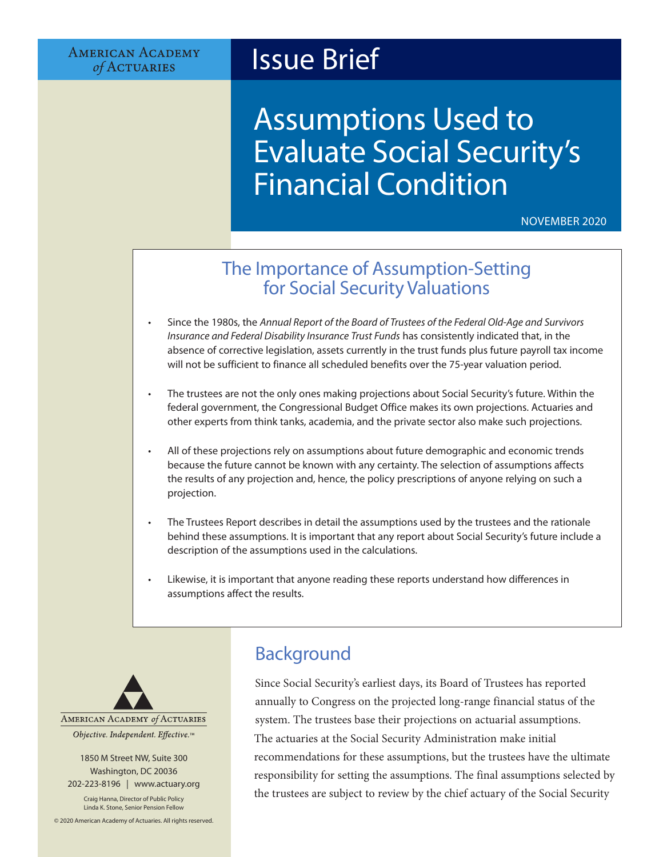**AMERICAN ACADEMY** of ACTUARIES

## Issue Brief

# Assumptions Used to Evaluate Social Security's Financial Condition

NOVEMBER 2020

## The Importance of Assumption-Setting for Social Security Valuations

- Since the 1980s, the *Annual Report of the Board of Trustees of the Federal Old-Age and Survivors Insurance and Federal Disability Insurance Trust Funds* has consistently indicated that, in the absence of corrective legislation, assets currently in the trust funds plus future payroll tax income will not be sufficient to finance all scheduled benefits over the 75-year valuation period.
- The trustees are not the only ones making projections about Social Security's future. Within the federal government, the Congressional Budget Office makes its own projections. Actuaries and other experts from think tanks, academia, and the private sector also make such projections.
- All of these projections rely on assumptions about future demographic and economic trends because the future cannot be known with any certainty. The selection of assumptions affects the results of any projection and, hence, the policy prescriptions of anyone relying on such a projection.
- The Trustees Report describes in detail the assumptions used by the trustees and the rationale behind these assumptions. It is important that any report about Social Security's future include a description of the assumptions used in the calculations.
- Likewise, it is important that anyone reading these reports understand how differences in assumptions affect the results.



1850 M Street NW, Suite 300 Washington, DC 20036 202-223-8196 | [www.actuary.org](http://actuary.org)

Craig Hanna, Director of Public Policy Linda K. Stone, Senior Pension Fellow

© 2020 American Academy of Actuaries. All rights reserved.

## Background

Since Social Security's earliest days, its Board of Trustees has reported annually to Congress on the projected long-range financial status of the system. The trustees base their projections on actuarial assumptions. The actuaries at the Social Security Administration make initial recommendations for these assumptions, but the trustees have the ultimate responsibility for setting the assumptions. The final assumptions selected by the trustees are subject to review by the chief actuary of the Social Security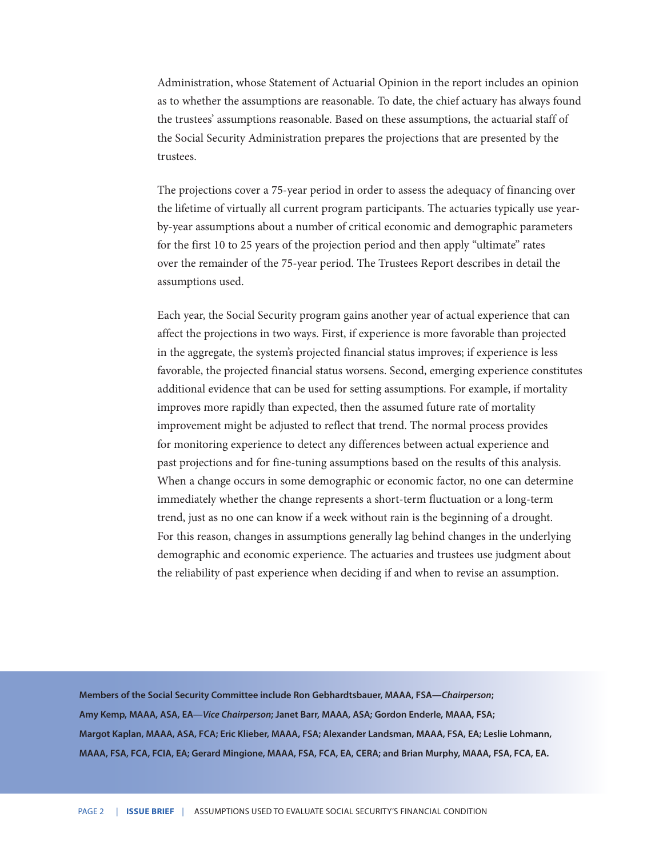Administration, whose Statement of Actuarial Opinion in the report includes an opinion as to whether the assumptions are reasonable. To date, the chief actuary has always found the trustees' assumptions reasonable. Based on these assumptions, the actuarial staff of the Social Security Administration prepares the projections that are presented by the trustees.

The projections cover a 75-year period in order to assess the adequacy of financing over the lifetime of virtually all current program participants. The actuaries typically use yearby-year assumptions about a number of critical economic and demographic parameters for the first 10 to 25 years of the projection period and then apply "ultimate" rates over the remainder of the 75-year period. The Trustees Report describes in detail the assumptions used.

Each year, the Social Security program gains another year of actual experience that can affect the projections in two ways. First, if experience is more favorable than projected in the aggregate, the system's projected financial status improves; if experience is less favorable, the projected financial status worsens. Second, emerging experience constitutes additional evidence that can be used for setting assumptions. For example, if mortality improves more rapidly than expected, then the assumed future rate of mortality improvement might be adjusted to reflect that trend. The normal process provides for monitoring experience to detect any differences between actual experience and past projections and for fine-tuning assumptions based on the results of this analysis. When a change occurs in some demographic or economic factor, no one can determine immediately whether the change represents a short-term fluctuation or a long-term trend, just as no one can know if a week without rain is the beginning of a drought. For this reason, changes in assumptions generally lag behind changes in the underlying demographic and economic experience. The actuaries and trustees use judgment about the reliability of past experience when deciding if and when to revise an assumption.

**Members of the Social Security Committee include Ron Gebhardtsbauer, MAAA, FSA—***Chairperson***; Amy Kemp, MAAA, ASA, EA—***Vice Chairperson***; Janet Barr, MAAA, ASA; Gordon Enderle, MAAA, FSA; Margot Kaplan, MAAA, ASA, FCA; Eric Klieber, MAAA, FSA; Alexander Landsman, MAAA, FSA, EA; Leslie Lohmann, MAAA, FSA, FCA, FCIA, EA; Gerard Mingione, MAAA, FSA, FCA, EA, CERA; and Brian Murphy, MAAA, FSA, FCA, EA.**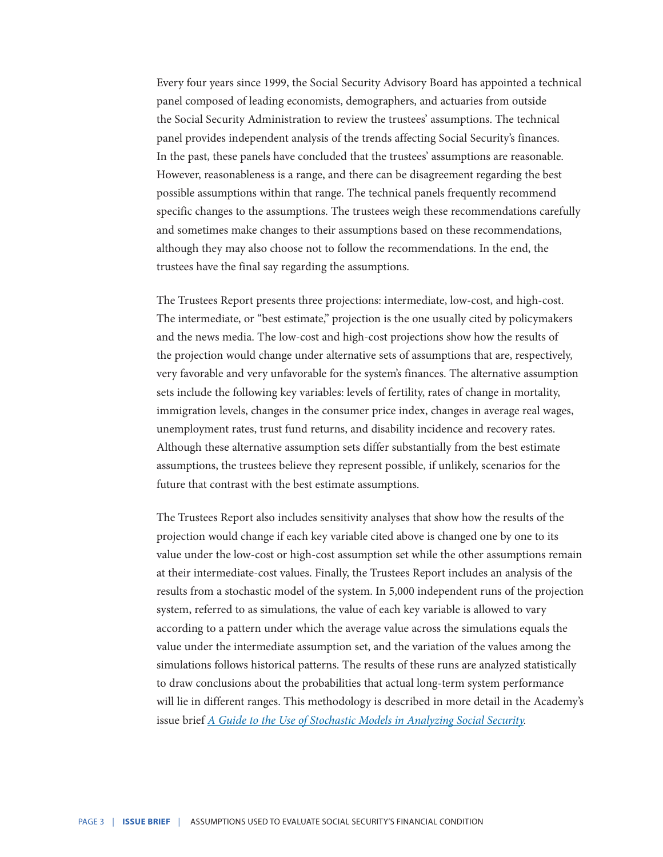Every four years since 1999, the Social Security Advisory Board has appointed a technical panel composed of leading economists, demographers, and actuaries from outside the Social Security Administration to review the trustees' assumptions. The technical panel provides independent analysis of the trends affecting Social Security's finances. In the past, these panels have concluded that the trustees' assumptions are reasonable. However, reasonableness is a range, and there can be disagreement regarding the best possible assumptions within that range. The technical panels frequently recommend specific changes to the assumptions. The trustees weigh these recommendations carefully and sometimes make changes to their assumptions based on these recommendations, although they may also choose not to follow the recommendations. In the end, the trustees have the final say regarding the assumptions.

The Trustees Report presents three projections: intermediate, low-cost, and high-cost. The intermediate, or "best estimate," projection is the one usually cited by policymakers and the news media. The low-cost and high-cost projections show how the results of the projection would change under alternative sets of assumptions that are, respectively, very favorable and very unfavorable for the system's finances. The alternative assumption sets include the following key variables: levels of fertility, rates of change in mortality, immigration levels, changes in the consumer price index, changes in average real wages, unemployment rates, trust fund returns, and disability incidence and recovery rates. Although these alternative assumption sets differ substantially from the best estimate assumptions, the trustees believe they represent possible, if unlikely, scenarios for the future that contrast with the best estimate assumptions.

The Trustees Report also includes sensitivity analyses that show how the results of the projection would change if each key variable cited above is changed one by one to its value under the low-cost or high-cost assumption set while the other assumptions remain at their intermediate-cost values. Finally, the Trustees Report includes an analysis of the results from a stochastic model of the system. In 5,000 independent runs of the projection system, referred to as simulations, the value of each key variable is allowed to vary according to a pattern under which the average value across the simulations equals the value under the intermediate assumption set, and the variation of the values among the simulations follows historical patterns. The results of these runs are analyzed statistically to draw conclusions about the probabilities that actual long-term system performance will lie in different ranges. This methodology is described in more detail in the Academy's issue brief *[A Guide to the Use of Stochastic Models in Analyzing Social Security.](http://www.actuary.org/pdf/socialsecurity/model_1005.pdf)*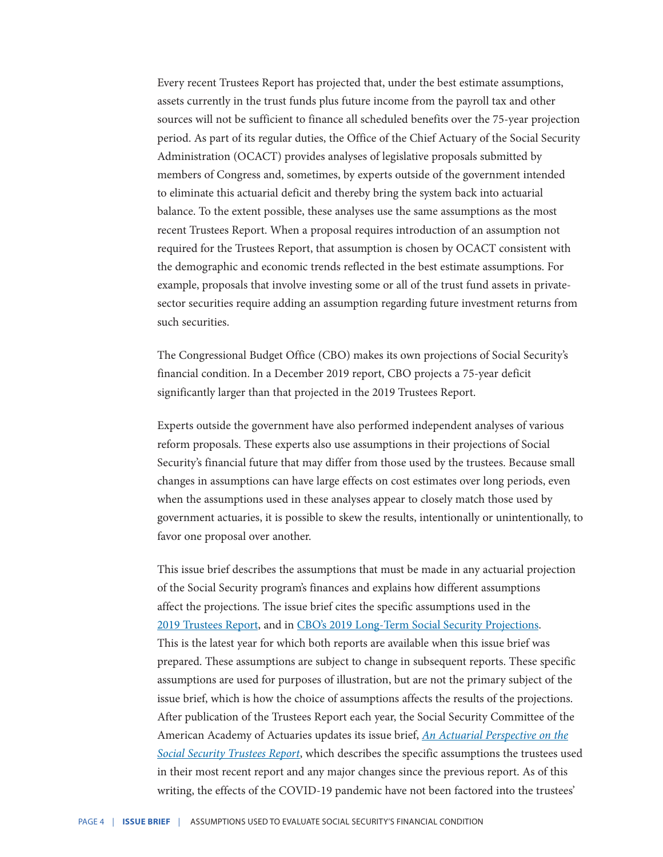Every recent Trustees Report has projected that, under the best estimate assumptions, assets currently in the trust funds plus future income from the payroll tax and other sources will not be sufficient to finance all scheduled benefits over the 75-year projection period. As part of its regular duties, the Office of the Chief Actuary of the Social Security Administration (OCACT) provides analyses of legislative proposals submitted by members of Congress and, sometimes, by experts outside of the government intended to eliminate this actuarial deficit and thereby bring the system back into actuarial balance. To the extent possible, these analyses use the same assumptions as the most recent Trustees Report. When a proposal requires introduction of an assumption not required for the Trustees Report, that assumption is chosen by OCACT consistent with the demographic and economic trends reflected in the best estimate assumptions. For example, proposals that involve investing some or all of the trust fund assets in privatesector securities require adding an assumption regarding future investment returns from such securities.

The Congressional Budget Office (CBO) makes its own projections of Social Security's financial condition. In a December 2019 report, CBO projects a 75-year deficit significantly larger than that projected in the 2019 Trustees Report.

Experts outside the government have also performed independent analyses of various reform proposals. These experts also use assumptions in their projections of Social Security's financial future that may differ from those used by the trustees. Because small changes in assumptions can have large effects on cost estimates over long periods, even when the assumptions used in these analyses appear to closely match those used by government actuaries, it is possible to skew the results, intentionally or unintentionally, to favor one proposal over another.

This issue brief describes the assumptions that must be made in any actuarial projection of the Social Security program's finances and explains how different assumptions affect the projections. The issue brief cites the specific assumptions used in the [2019 Trustees Report](https://www.ssa.gov/oact/TR/2019/index.html), and in [CBO's 2019 Long-Term Social Security Projections.](https://www.cbo.gov/system/files/2019-12/55914-CBO-Social-Security-Comparison.pdf) This is the latest year for which both reports are available when this issue brief was prepared. These assumptions are subject to change in subsequent reports. These specific assumptions are used for purposes of illustration, but are not the primary subject of the issue brief, which is how the choice of assumptions affects the results of the projections. After publication of the Trustees Report each year, the Social Security Committee of the American Academy of Actuaries updates its issue brief, *[An Actuarial Perspective on the](https://www.actuary.org/sites/default/files/2019-05/SSC_Trustee_Report_05222019.pdf) [Social Security Trustees Report](https://www.actuary.org/sites/default/files/2019-05/SSC_Trustee_Report_05222019.pdf)*, which describes the specific assumptions the trustees used in their most recent report and any major changes since the previous report. As of this writing, the effects of the COVID-19 pandemic have not been factored into the trustees'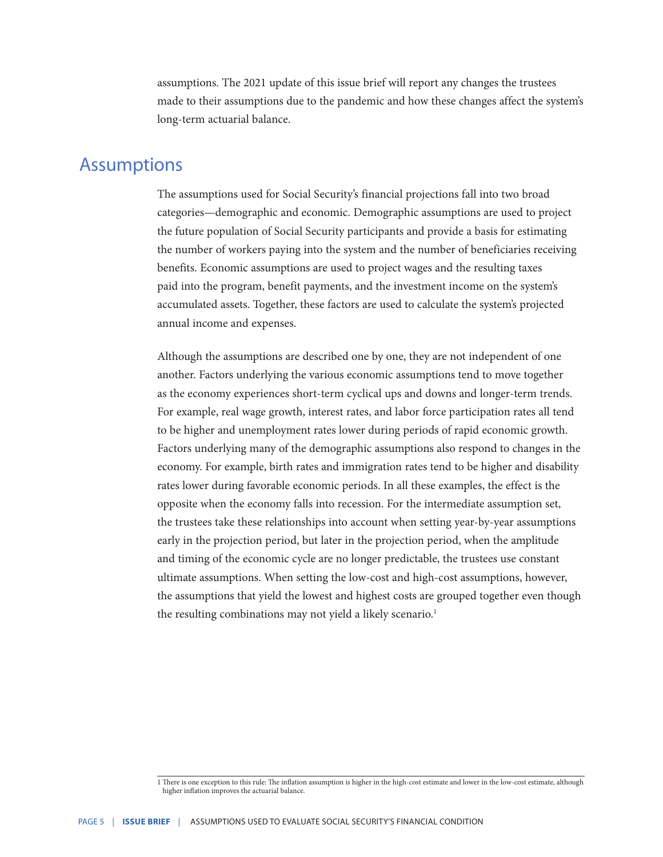assumptions. The 2021 update of this issue brief will report any changes the trustees made to their assumptions due to the pandemic and how these changes affect the system's long-term actuarial balance.

#### **Assumptions**

The assumptions used for Social Security's financial projections fall into two broad categories—demographic and economic. Demographic assumptions are used to project the future population of Social Security participants and provide a basis for estimating the number of workers paying into the system and the number of beneficiaries receiving benefits. Economic assumptions are used to project wages and the resulting taxes paid into the program, benefit payments, and the investment income on the system's accumulated assets. Together, these factors are used to calculate the system's projected annual income and expenses.

Although the assumptions are described one by one, they are not independent of one another. Factors underlying the various economic assumptions tend to move together as the economy experiences short-term cyclical ups and downs and longer-term trends. For example, real wage growth, interest rates, and labor force participation rates all tend to be higher and unemployment rates lower during periods of rapid economic growth. Factors underlying many of the demographic assumptions also respond to changes in the economy. For example, birth rates and immigration rates tend to be higher and disability rates lower during favorable economic periods. In all these examples, the effect is the opposite when the economy falls into recession. For the intermediate assumption set, the trustees take these relationships into account when setting year-by-year assumptions early in the projection period, but later in the projection period, when the amplitude and timing of the economic cycle are no longer predictable, the trustees use constant ultimate assumptions. When setting the low-cost and high-cost assumptions, however, the assumptions that yield the lowest and highest costs are grouped together even though the resulting combinations may not yield a likely scenario.<sup>1</sup>

<sup>1</sup> There is one exception to this rule: The inflation assumption is higher in the high-cost estimate and lower in the low-cost estimate, although higher inflation improves the actuarial balance.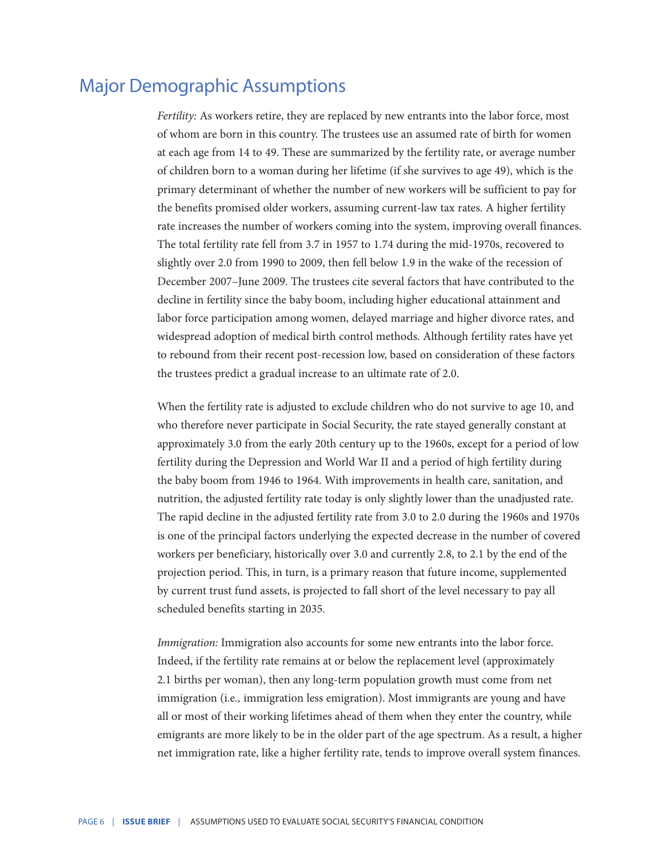#### Major Demographic Assumptions

*Fertility:* As workers retire, they are replaced by new entrants into the labor force, most of whom are born in this country. The trustees use an assumed rate of birth for women at each age from 14 to 49. These are summarized by the fertility rate, or average number of children born to a woman during her lifetime (if she survives to age 49), which is the primary determinant of whether the number of new workers will be sufficient to pay for the benefits promised older workers, assuming current-law tax rates. A higher fertility rate increases the number of workers coming into the system, improving overall finances. The total fertility rate fell from 3.7 in 1957 to 1.74 during the mid-1970s, recovered to slightly over 2.0 from 1990 to 2009, then fell below 1.9 in the wake of the recession of December 2007–June 2009. The trustees cite several factors that have contributed to the decline in fertility since the baby boom, including higher educational attainment and labor force participation among women, delayed marriage and higher divorce rates, and widespread adoption of medical birth control methods. Although fertility rates have yet to rebound from their recent post-recession low, based on consideration of these factors the trustees predict a gradual increase to an ultimate rate of 2.0.

When the fertility rate is adjusted to exclude children who do not survive to age 10, and who therefore never participate in Social Security, the rate stayed generally constant at approximately 3.0 from the early 20th century up to the 1960s, except for a period of low fertility during the Depression and World War II and a period of high fertility during the baby boom from 1946 to 1964. With improvements in health care, sanitation, and nutrition, the adjusted fertility rate today is only slightly lower than the unadjusted rate. The rapid decline in the adjusted fertility rate from 3.0 to 2.0 during the 1960s and 1970s is one of the principal factors underlying the expected decrease in the number of covered workers per beneficiary, historically over 3.0 and currently 2.8, to 2.1 by the end of the projection period. This, in turn, is a primary reason that future income, supplemented by current trust fund assets, is projected to fall short of the level necessary to pay all scheduled benefits starting in 2035.

*Immigration:* Immigration also accounts for some new entrants into the labor force. Indeed, if the fertility rate remains at or below the replacement level (approximately 2.1 births per woman), then any long-term population growth must come from net immigration (i.e*.,* immigration less emigration). Most immigrants are young and have all or most of their working lifetimes ahead of them when they enter the country, while emigrants are more likely to be in the older part of the age spectrum. As a result, a higher net immigration rate, like a higher fertility rate, tends to improve overall system finances.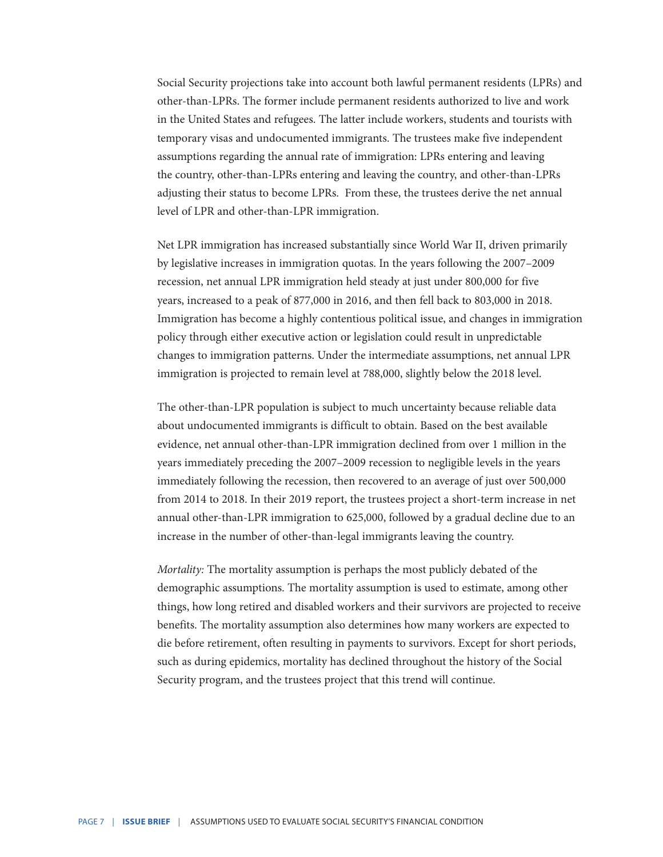Social Security projections take into account both lawful permanent residents (LPRs) and other-than-LPRs. The former include permanent residents authorized to live and work in the United States and refugees. The latter include workers, students and tourists with temporary visas and undocumented immigrants. The trustees make five independent assumptions regarding the annual rate of immigration: LPRs entering and leaving the country, other-than-LPRs entering and leaving the country, and other-than-LPRs adjusting their status to become LPRs. From these, the trustees derive the net annual level of LPR and other-than-LPR immigration.

Net LPR immigration has increased substantially since World War II, driven primarily by legislative increases in immigration quotas. In the years following the 2007–2009 recession, net annual LPR immigration held steady at just under 800,000 for five years, increased to a peak of 877,000 in 2016, and then fell back to 803,000 in 2018. Immigration has become a highly contentious political issue, and changes in immigration policy through either executive action or legislation could result in unpredictable changes to immigration patterns. Under the intermediate assumptions, net annual LPR immigration is projected to remain level at 788,000, slightly below the 2018 level.

The other-than-LPR population is subject to much uncertainty because reliable data about undocumented immigrants is difficult to obtain. Based on the best available evidence, net annual other-than-LPR immigration declined from over 1 million in the years immediately preceding the 2007–2009 recession to negligible levels in the years immediately following the recession, then recovered to an average of just over 500,000 from 2014 to 2018. In their 2019 report, the trustees project a short-term increase in net annual other-than-LPR immigration to 625,000, followed by a gradual decline due to an increase in the number of other-than-legal immigrants leaving the country.

*Mortality:* The mortality assumption is perhaps the most publicly debated of the demographic assumptions. The mortality assumption is used to estimate, among other things, how long retired and disabled workers and their survivors are projected to receive benefits. The mortality assumption also determines how many workers are expected to die before retirement, often resulting in payments to survivors. Except for short periods, such as during epidemics, mortality has declined throughout the history of the Social Security program, and the trustees project that this trend will continue.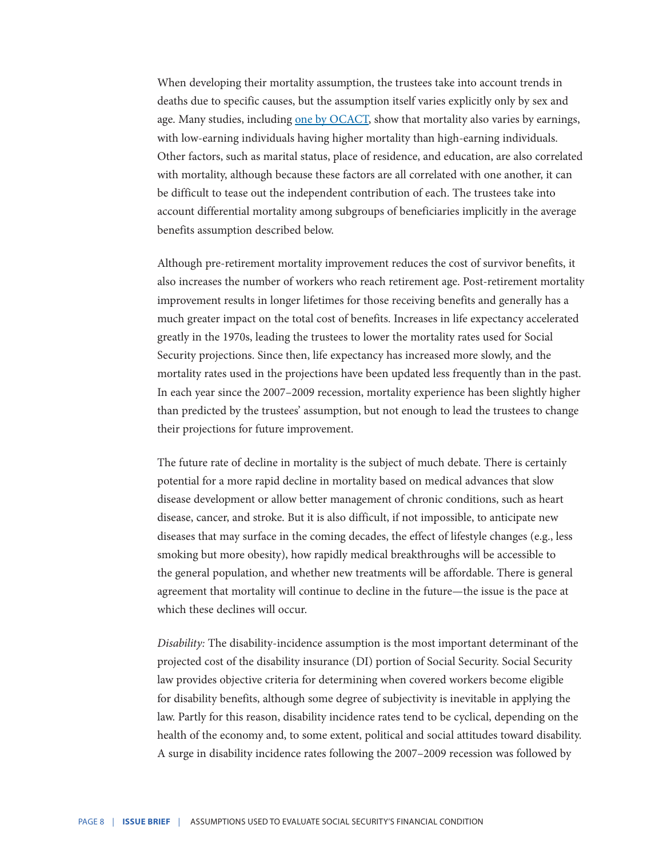When developing their mortality assumption, the trustees take into account trends in deaths due to specific causes, but the assumption itself varies explicitly only by sex and age. Many studies, including <u>[one by OCACT](https://www.ssa.gov/oact/NOTES/pdf_studies/study124.pdf)</u>, show that mortality also varies by earnings, with low-earning individuals having higher mortality than high-earning individuals. Other factors, such as marital status, place of residence, and education, are also correlated with mortality, although because these factors are all correlated with one another, it can be difficult to tease out the independent contribution of each. The trustees take into account differential mortality among subgroups of beneficiaries implicitly in the average benefits assumption described below.

Although pre-retirement mortality improvement reduces the cost of survivor benefits, it also increases the number of workers who reach retirement age. Post-retirement mortality improvement results in longer lifetimes for those receiving benefits and generally has a much greater impact on the total cost of benefits. Increases in life expectancy accelerated greatly in the 1970s, leading the trustees to lower the mortality rates used for Social Security projections. Since then, life expectancy has increased more slowly, and the mortality rates used in the projections have been updated less frequently than in the past. In each year since the 2007–2009 recession, mortality experience has been slightly higher than predicted by the trustees' assumption, but not enough to lead the trustees to change their projections for future improvement.

The future rate of decline in mortality is the subject of much debate. There is certainly potential for a more rapid decline in mortality based on medical advances that slow disease development or allow better management of chronic conditions, such as heart disease, cancer, and stroke. But it is also difficult, if not impossible, to anticipate new diseases that may surface in the coming decades, the effect of lifestyle changes (e.g., less smoking but more obesity), how rapidly medical breakthroughs will be accessible to the general population, and whether new treatments will be affordable. There is general agreement that mortality will continue to decline in the future—the issue is the pace at which these declines will occur.

*Disability:* The disability-incidence assumption is the most important determinant of the projected cost of the disability insurance (DI) portion of Social Security. Social Security law provides objective criteria for determining when covered workers become eligible for disability benefits, although some degree of subjectivity is inevitable in applying the law. Partly for this reason, disability incidence rates tend to be cyclical, depending on the health of the economy and, to some extent, political and social attitudes toward disability. A surge in disability incidence rates following the 2007–2009 recession was followed by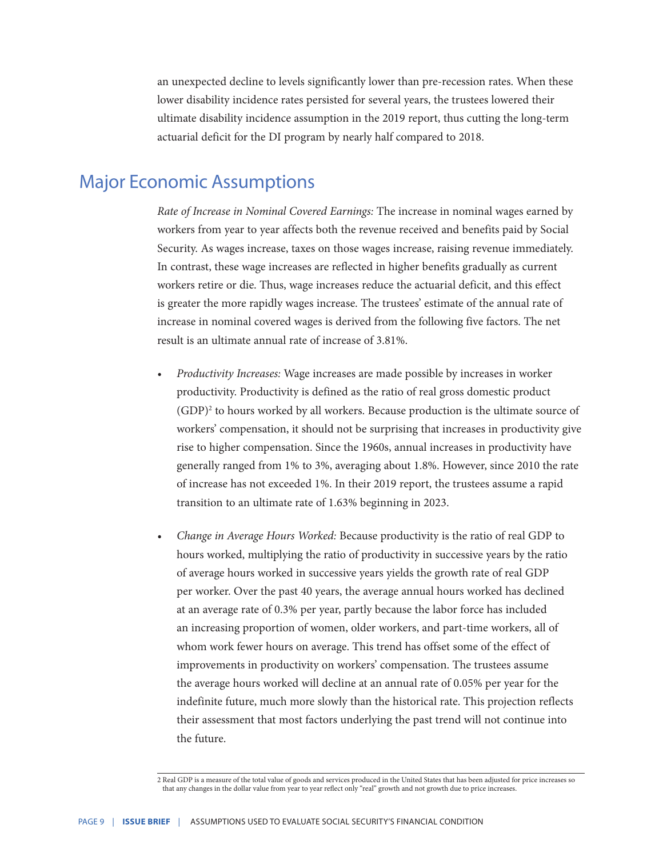an unexpected decline to levels significantly lower than pre-recession rates. When these lower disability incidence rates persisted for several years, the trustees lowered their ultimate disability incidence assumption in the 2019 report, thus cutting the long-term actuarial deficit for the DI program by nearly half compared to 2018.

#### Major Economic Assumptions

*Rate of Increase in Nominal Covered Earnings:* The increase in nominal wages earned by workers from year to year affects both the revenue received and benefits paid by Social Security. As wages increase, taxes on those wages increase, raising revenue immediately. In contrast, these wage increases are reflected in higher benefits gradually as current workers retire or die. Thus, wage increases reduce the actuarial deficit, and this effect is greater the more rapidly wages increase. The trustees' estimate of the annual rate of increase in nominal covered wages is derived from the following five factors. The net result is an ultimate annual rate of increase of 3.81%.

- *• Productivity Increases:* Wage increases are made possible by increases in worker productivity. Productivity is defined as the ratio of real gross domestic product (GDP)<sup>2</sup> to hours worked by all workers. Because production is the ultimate source of workers' compensation, it should not be surprising that increases in productivity give rise to higher compensation. Since the 1960s, annual increases in productivity have generally ranged from 1% to 3%, averaging about 1.8%. However, since 2010 the rate of increase has not exceeded 1%. In their 2019 report, the trustees assume a rapid transition to an ultimate rate of 1.63% beginning in 2023.
- *• Change in Average Hours Worked:* Because productivity is the ratio of real GDP to hours worked, multiplying the ratio of productivity in successive years by the ratio of average hours worked in successive years yields the growth rate of real GDP per worker. Over the past 40 years, the average annual hours worked has declined at an average rate of 0.3% per year, partly because the labor force has included an increasing proportion of women, older workers, and part-time workers, all of whom work fewer hours on average. This trend has offset some of the effect of improvements in productivity on workers' compensation. The trustees assume the average hours worked will decline at an annual rate of 0.05% per year for the indefinite future, much more slowly than the historical rate. This projection reflects their assessment that most factors underlying the past trend will not continue into the future.

<sup>2</sup> Real GDP is a measure of the total value of goods and services produced in the United States that has been adjusted for price increases so that any changes in the dollar value from year to year reflect only "real" growth and not growth due to price increases.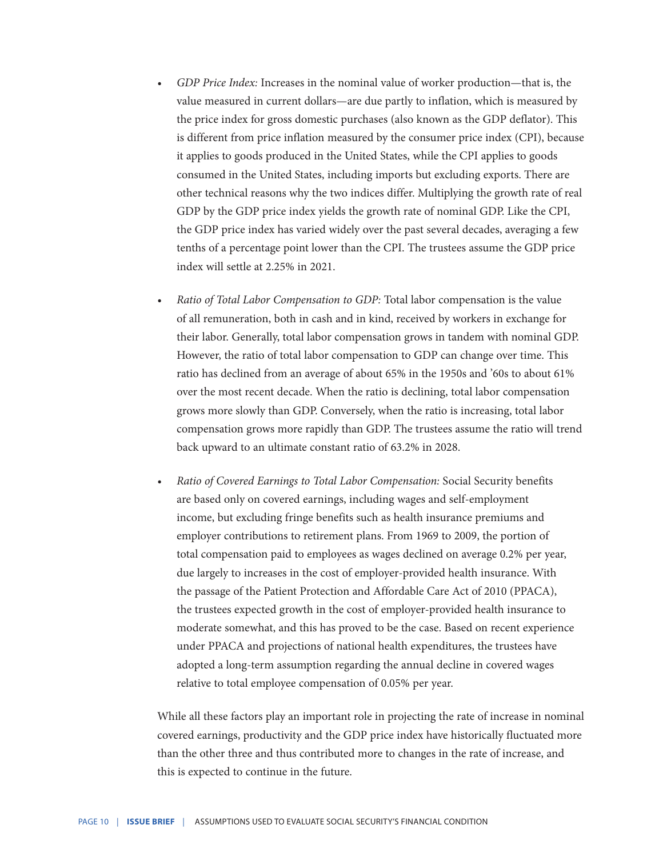- *• GDP Price Index:* Increases in the nominal value of worker production—that is, the value measured in current dollars—are due partly to inflation, which is measured by the price index for gross domestic purchases (also known as the GDP deflator). This is different from price inflation measured by the consumer price index (CPI), because it applies to goods produced in the United States, while the CPI applies to goods consumed in the United States, including imports but excluding exports. There are other technical reasons why the two indices differ. Multiplying the growth rate of real GDP by the GDP price index yields the growth rate of nominal GDP. Like the CPI, the GDP price index has varied widely over the past several decades, averaging a few tenths of a percentage point lower than the CPI. The trustees assume the GDP price index will settle at 2.25% in 2021.
- *• Ratio of Total Labor Compensation to GDP:* Total labor compensation is the value of all remuneration, both in cash and in kind, received by workers in exchange for their labor. Generally, total labor compensation grows in tandem with nominal GDP. However, the ratio of total labor compensation to GDP can change over time. This ratio has declined from an average of about 65% in the 1950s and '60s to about 61% over the most recent decade. When the ratio is declining, total labor compensation grows more slowly than GDP. Conversely, when the ratio is increasing, total labor compensation grows more rapidly than GDP. The trustees assume the ratio will trend back upward to an ultimate constant ratio of 63.2% in 2028.
- *• Ratio of Covered Earnings to Total Labor Compensation:* Social Security benefits are based only on covered earnings, including wages and self-employment income, but excluding fringe benefits such as health insurance premiums and employer contributions to retirement plans. From 1969 to 2009, the portion of total compensation paid to employees as wages declined on average 0.2% per year, due largely to increases in the cost of employer-provided health insurance. With the passage of the Patient Protection and Affordable Care Act of 2010 (PPACA), the trustees expected growth in the cost of employer-provided health insurance to moderate somewhat, and this has proved to be the case. Based on recent experience under PPACA and projections of national health expenditures, the trustees have adopted a long-term assumption regarding the annual decline in covered wages relative to total employee compensation of 0.05% per year.

While all these factors play an important role in projecting the rate of increase in nominal covered earnings, productivity and the GDP price index have historically fluctuated more than the other three and thus contributed more to changes in the rate of increase, and this is expected to continue in the future.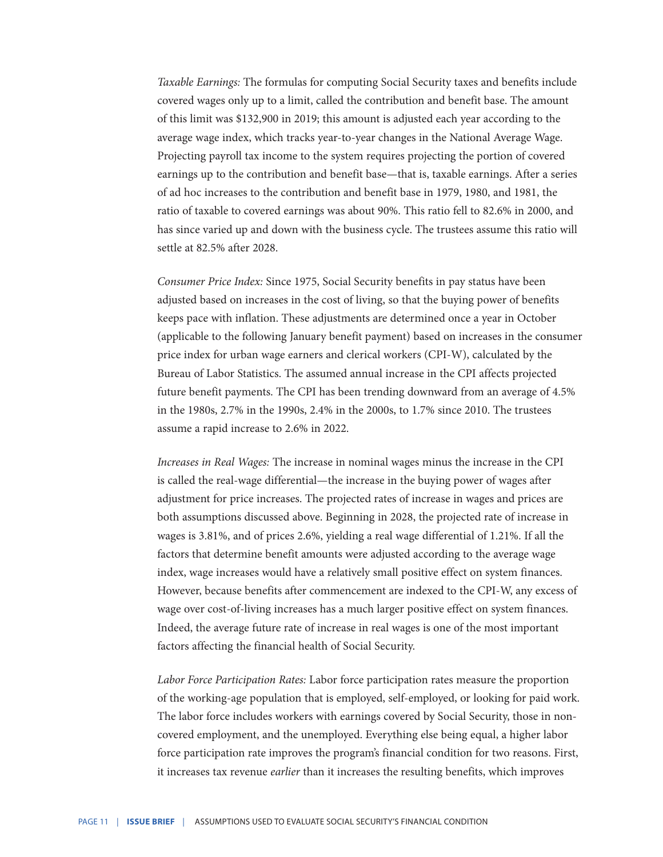*Taxable Earnings:* The formulas for computing Social Security taxes and benefits include covered wages only up to a limit, called the contribution and benefit base. The amount of this limit was \$132,900 in 2019; this amount is adjusted each year according to the average wage index, which tracks year-to-year changes in the National Average Wage. Projecting payroll tax income to the system requires projecting the portion of covered earnings up to the contribution and benefit base—that is, taxable earnings. After a series of ad hoc increases to the contribution and benefit base in 1979, 1980, and 1981, the ratio of taxable to covered earnings was about 90%. This ratio fell to 82.6% in 2000, and has since varied up and down with the business cycle. The trustees assume this ratio will settle at 82.5% after 2028.

*Consumer Price Index:* Since 1975, Social Security benefits in pay status have been adjusted based on increases in the cost of living, so that the buying power of benefits keeps pace with inflation. These adjustments are determined once a year in October (applicable to the following January benefit payment) based on increases in the consumer price index for urban wage earners and clerical workers (CPI-W), calculated by the Bureau of Labor Statistics. The assumed annual increase in the CPI affects projected future benefit payments. The CPI has been trending downward from an average of 4.5% in the 1980s, 2.7% in the 1990s, 2.4% in the 2000s, to 1.7% since 2010. The trustees assume a rapid increase to 2.6% in 2022.

*Increases in Real Wages:* The increase in nominal wages minus the increase in the CPI is called the real-wage differential—the increase in the buying power of wages after adjustment for price increases. The projected rates of increase in wages and prices are both assumptions discussed above. Beginning in 2028, the projected rate of increase in wages is 3.81%, and of prices 2.6%, yielding a real wage differential of 1.21%. If all the factors that determine benefit amounts were adjusted according to the average wage index, wage increases would have a relatively small positive effect on system finances. However, because benefits after commencement are indexed to the CPI-W, any excess of wage over cost-of-living increases has a much larger positive effect on system finances. Indeed, the average future rate of increase in real wages is one of the most important factors affecting the financial health of Social Security.

*Labor Force Participation Rates:* Labor force participation rates measure the proportion of the working-age population that is employed, self-employed, or looking for paid work. The labor force includes workers with earnings covered by Social Security, those in noncovered employment, and the unemployed. Everything else being equal, a higher labor force participation rate improves the program's financial condition for two reasons. First, it increases tax revenue *earlier* than it increases the resulting benefits, which improves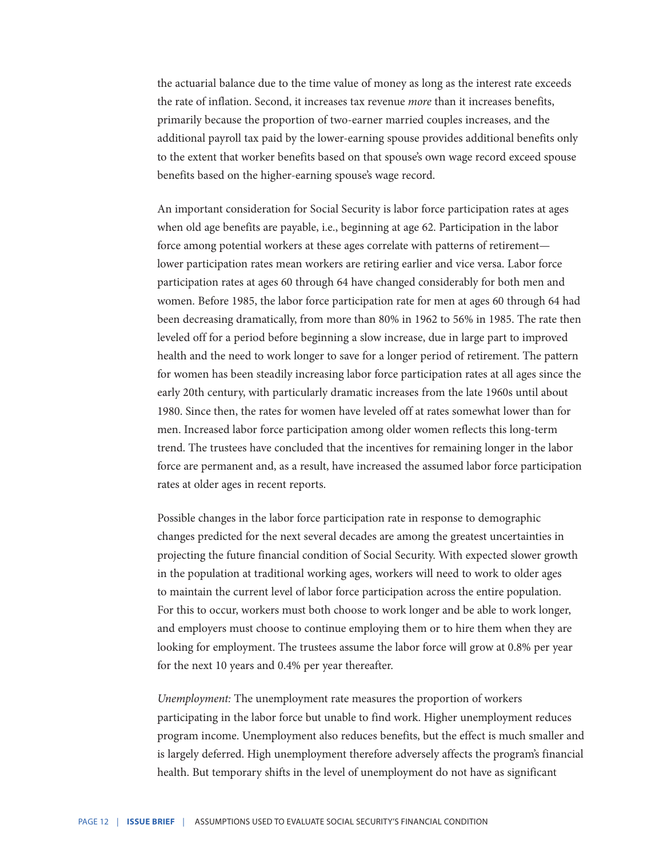the actuarial balance due to the time value of money as long as the interest rate exceeds the rate of inflation. Second, it increases tax revenue *more* than it increases benefits, primarily because the proportion of two-earner married couples increases, and the additional payroll tax paid by the lower-earning spouse provides additional benefits only to the extent that worker benefits based on that spouse's own wage record exceed spouse benefits based on the higher-earning spouse's wage record.

An important consideration for Social Security is labor force participation rates at ages when old age benefits are payable, i.e., beginning at age 62. Participation in the labor force among potential workers at these ages correlate with patterns of retirement lower participation rates mean workers are retiring earlier and vice versa. Labor force participation rates at ages 60 through 64 have changed considerably for both men and women. Before 1985, the labor force participation rate for men at ages 60 through 64 had been decreasing dramatically, from more than 80% in 1962 to 56% in 1985. The rate then leveled off for a period before beginning a slow increase, due in large part to improved health and the need to work longer to save for a longer period of retirement. The pattern for women has been steadily increasing labor force participation rates at all ages since the early 20th century, with particularly dramatic increases from the late 1960s until about 1980. Since then, the rates for women have leveled off at rates somewhat lower than for men. Increased labor force participation among older women reflects this long-term trend. The trustees have concluded that the incentives for remaining longer in the labor force are permanent and, as a result, have increased the assumed labor force participation rates at older ages in recent reports.

Possible changes in the labor force participation rate in response to demographic changes predicted for the next several decades are among the greatest uncertainties in projecting the future financial condition of Social Security. With expected slower growth in the population at traditional working ages, workers will need to work to older ages to maintain the current level of labor force participation across the entire population. For this to occur, workers must both choose to work longer and be able to work longer, and employers must choose to continue employing them or to hire them when they are looking for employment. The trustees assume the labor force will grow at 0.8% per year for the next 10 years and 0.4% per year thereafter.

*Unemployment:* The unemployment rate measures the proportion of workers participating in the labor force but unable to find work. Higher unemployment reduces program income. Unemployment also reduces benefits, but the effect is much smaller and is largely deferred. High unemployment therefore adversely affects the program's financial health. But temporary shifts in the level of unemployment do not have as significant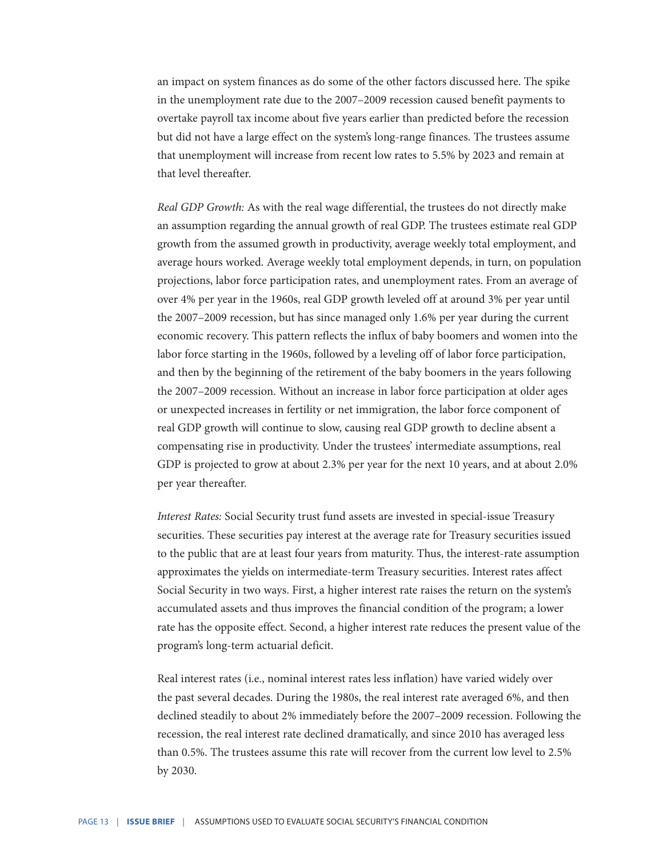an impact on system finances as do some of the other factors discussed here. The spike in the unemployment rate due to the 2007–2009 recession caused benefit payments to overtake payroll tax income about five years earlier than predicted before the recession but did not have a large effect on the system's long-range finances. The trustees assume that unemployment will increase from recent low rates to 5.5% by 2023 and remain at that level thereafter.

*Real GDP Growth:* As with the real wage differential, the trustees do not directly make an assumption regarding the annual growth of real GDP. The trustees estimate real GDP growth from the assumed growth in productivity, average weekly total employment, and average hours worked. Average weekly total employment depends, in turn, on population projections, labor force participation rates, and unemployment rates. From an average of over 4% per year in the 1960s, real GDP growth leveled off at around 3% per year until the 2007–2009 recession, but has since managed only 1.6% per year during the current economic recovery. This pattern reflects the influx of baby boomers and women into the labor force starting in the 1960s, followed by a leveling off of labor force participation, and then by the beginning of the retirement of the baby boomers in the years following the 2007–2009 recession. Without an increase in labor force participation at older ages or unexpected increases in fertility or net immigration, the labor force component of real GDP growth will continue to slow, causing real GDP growth to decline absent a compensating rise in productivity. Under the trustees' intermediate assumptions, real GDP is projected to grow at about 2.3% per year for the next 10 years, and at about 2.0% per year thereafter.

*Interest Rates:* Social Security trust fund assets are invested in special-issue Treasury securities. These securities pay interest at the average rate for Treasury securities issued to the public that are at least four years from maturity. Thus, the interest-rate assumption approximates the yields on intermediate-term Treasury securities. Interest rates affect Social Security in two ways. First, a higher interest rate raises the return on the system's accumulated assets and thus improves the financial condition of the program; a lower rate has the opposite effect. Second, a higher interest rate reduces the present value of the program's long-term actuarial deficit.

Real interest rates (i.e., nominal interest rates less inflation) have varied widely over the past several decades. During the 1980s, the real interest rate averaged 6%, and then declined steadily to about 2% immediately before the 2007–2009 recession. Following the recession, the real interest rate declined dramatically, and since 2010 has averaged less than 0.5%. The trustees assume this rate will recover from the current low level to 2.5% by 2030.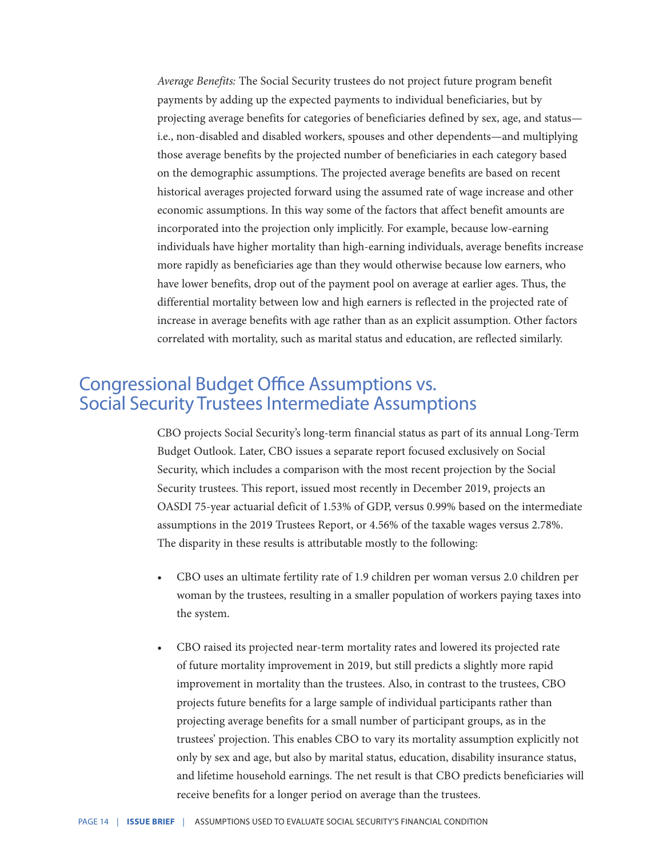*Average Benefits:* The Social Security trustees do not project future program benefit payments by adding up the expected payments to individual beneficiaries, but by projecting average benefits for categories of beneficiaries defined by sex, age, and status i.e., non-disabled and disabled workers, spouses and other dependents—and multiplying those average benefits by the projected number of beneficiaries in each category based on the demographic assumptions. The projected average benefits are based on recent historical averages projected forward using the assumed rate of wage increase and other economic assumptions. In this way some of the factors that affect benefit amounts are incorporated into the projection only implicitly. For example, because low-earning individuals have higher mortality than high-earning individuals, average benefits increase more rapidly as beneficiaries age than they would otherwise because low earners, who have lower benefits, drop out of the payment pool on average at earlier ages. Thus, the differential mortality between low and high earners is reflected in the projected rate of increase in average benefits with age rather than as an explicit assumption. Other factors correlated with mortality, such as marital status and education, are reflected similarly.

### Congressional Budget Office Assumptions vs. Social Security Trustees Intermediate Assumptions

CBO projects Social Security's long-term financial status as part of its annual Long-Term Budget Outlook. Later, CBO issues a separate report focused exclusively on Social Security, which includes a comparison with the most recent projection by the Social Security trustees. This report, issued most recently in December 2019, projects an OASDI 75-year actuarial deficit of 1.53% of GDP, versus 0.99% based on the intermediate assumptions in the 2019 Trustees Report, or 4.56% of the taxable wages versus 2.78%. The disparity in these results is attributable mostly to the following:

- CBO uses an ultimate fertility rate of 1.9 children per woman versus 2.0 children per woman by the trustees, resulting in a smaller population of workers paying taxes into the system.
- CBO raised its projected near-term mortality rates and lowered its projected rate of future mortality improvement in 2019, but still predicts a slightly more rapid improvement in mortality than the trustees. Also, in contrast to the trustees, CBO projects future benefits for a large sample of individual participants rather than projecting average benefits for a small number of participant groups, as in the trustees' projection. This enables CBO to vary its mortality assumption explicitly not only by sex and age, but also by marital status, education, disability insurance status, and lifetime household earnings. The net result is that CBO predicts beneficiaries will receive benefits for a longer period on average than the trustees.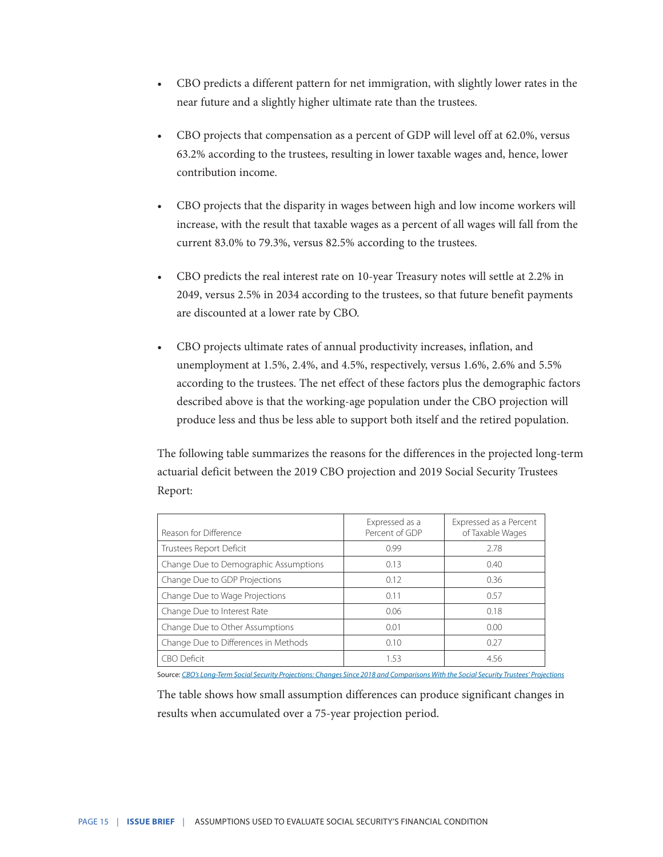- CBO predicts a different pattern for net immigration, with slightly lower rates in the near future and a slightly higher ultimate rate than the trustees.
- CBO projects that compensation as a percent of GDP will level off at 62.0%, versus 63.2% according to the trustees, resulting in lower taxable wages and, hence, lower contribution income.
- CBO projects that the disparity in wages between high and low income workers will increase, with the result that taxable wages as a percent of all wages will fall from the current 83.0% to 79.3%, versus 82.5% according to the trustees.
- CBO predicts the real interest rate on 10-year Treasury notes will settle at 2.2% in 2049, versus 2.5% in 2034 according to the trustees, so that future benefit payments are discounted at a lower rate by CBO.
- CBO projects ultimate rates of annual productivity increases, inflation, and unemployment at 1.5%, 2.4%, and 4.5%, respectively, versus 1.6%, 2.6% and 5.5% according to the trustees. The net effect of these factors plus the demographic factors described above is that the working-age population under the CBO projection will produce less and thus be less able to support both itself and the retired population.

The following table summarizes the reasons for the differences in the projected long-term actuarial deficit between the 2019 CBO projection and 2019 Social Security Trustees Report:

| Reason for Difference                 | Expressed as a<br>Percent of GDP | Expressed as a Percent<br>of Taxable Wages |
|---------------------------------------|----------------------------------|--------------------------------------------|
| Trustees Report Deficit               | 0.99                             | 2.78                                       |
| Change Due to Demographic Assumptions | 0.13                             | 0.40                                       |
| Change Due to GDP Projections         | 0.12                             | 0.36                                       |
| Change Due to Wage Projections        | 0.11                             | 0.57                                       |
| Change Due to Interest Rate           | 0.06                             | 0.18                                       |
| Change Due to Other Assumptions       | 0.01                             | 0.00                                       |
| Change Due to Differences in Methods  | 0.10                             | 0.27                                       |
| <b>CBO Deficit</b>                    | 1.53                             | 4.56                                       |

Source: *[CBO's Long-Term Social Security Projections: Changes Since 2018 and Comparisons With the Social Security Trustees' Projections](https://www.cbo.gov/system/files/2019-12/55914-CBO-Social-Security-Comparison.pdf)* 

The table shows how small assumption differences can produce significant changes in results when accumulated over a 75-year projection period.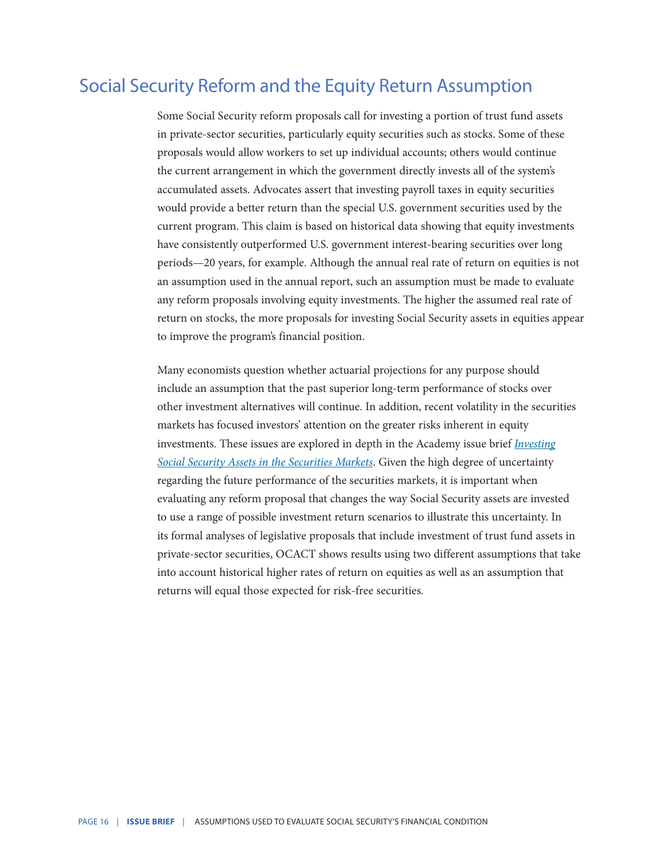#### Social Security Reform and the Equity Return Assumption

Some Social Security reform proposals call for investing a portion of trust fund assets in private-sector securities, particularly equity securities such as stocks. Some of these proposals would allow workers to set up individual accounts; others would continue the current arrangement in which the government directly invests all of the system's accumulated assets. Advocates assert that investing payroll taxes in equity securities would provide a better return than the special U.S. government securities used by the current program. This claim is based on historical data showing that equity investments have consistently outperformed U.S. government interest-bearing securities over long periods—20 years, for example. Although the annual real rate of return on equities is not an assumption used in the annual report, such an assumption must be made to evaluate any reform proposals involving equity investments. The higher the assumed real rate of return on stocks, the more proposals for investing Social Security assets in equities appear to improve the program's financial position.

Many economists question whether actuarial projections for any purpose should include an assumption that the past superior long-term performance of stocks over other investment alternatives will continue. In addition, recent volatility in the securities markets has focused investors' attention on the greater risks inherent in equity investments. These issues are explored in depth in the Academy issue brief *[Investing](http://www.actuary.org/pdf/pension/sec_0307.pdf) [Social Security Assets in the Securities Markets](http://www.actuary.org/pdf/pension/sec_0307.pdf)*. Given the high degree of uncertainty regarding the future performance of the securities markets, it is important when evaluating any reform proposal that changes the way Social Security assets are invested to use a range of possible investment return scenarios to illustrate this uncertainty. In its formal analyses of legislative proposals that include investment of trust fund assets in private-sector securities, OCACT shows results using two different assumptions that take into account historical higher rates of return on equities as well as an assumption that returns will equal those expected for risk-free securities.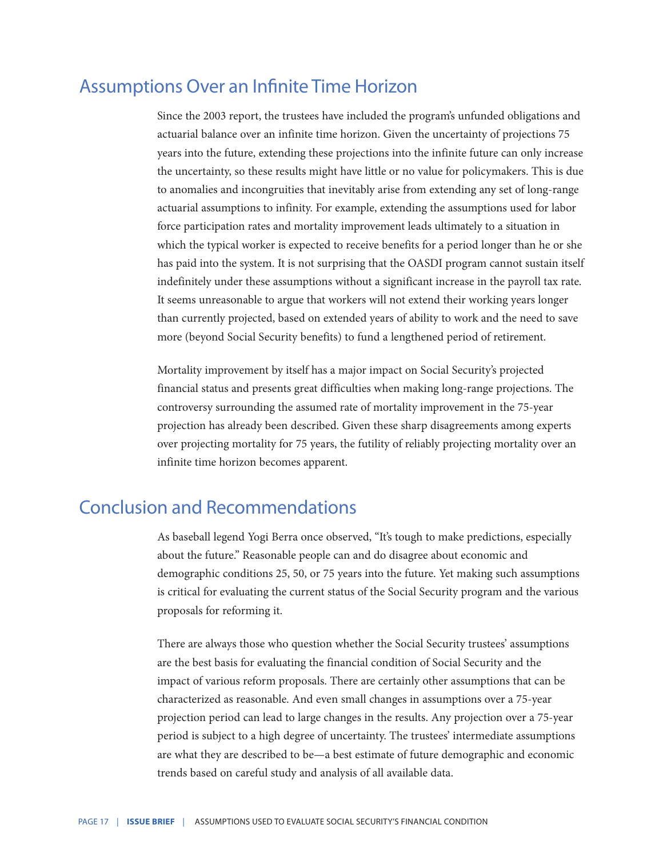#### Assumptions Over an Infinite Time Horizon

Since the 2003 report, the trustees have included the program's unfunded obligations and actuarial balance over an infinite time horizon. Given the uncertainty of projections 75 years into the future, extending these projections into the infinite future can only increase the uncertainty, so these results might have little or no value for policymakers. This is due to anomalies and incongruities that inevitably arise from extending any set of long-range actuarial assumptions to infinity. For example, extending the assumptions used for labor force participation rates and mortality improvement leads ultimately to a situation in which the typical worker is expected to receive benefits for a period longer than he or she has paid into the system. It is not surprising that the OASDI program cannot sustain itself indefinitely under these assumptions without a significant increase in the payroll tax rate. It seems unreasonable to argue that workers will not extend their working years longer than currently projected, based on extended years of ability to work and the need to save more (beyond Social Security benefits) to fund a lengthened period of retirement.

Mortality improvement by itself has a major impact on Social Security's projected financial status and presents great difficulties when making long-range projections. The controversy surrounding the assumed rate of mortality improvement in the 75-year projection has already been described. Given these sharp disagreements among experts over projecting mortality for 75 years, the futility of reliably projecting mortality over an infinite time horizon becomes apparent.

#### Conclusion and Recommendations

As baseball legend Yogi Berra once observed, "It's tough to make predictions, especially about the future." Reasonable people can and do disagree about economic and demographic conditions 25, 50, or 75 years into the future. Yet making such assumptions is critical for evaluating the current status of the Social Security program and the various proposals for reforming it.

There are always those who question whether the Social Security trustees' assumptions are the best basis for evaluating the financial condition of Social Security and the impact of various reform proposals. There are certainly other assumptions that can be characterized as reasonable. And even small changes in assumptions over a 75-year projection period can lead to large changes in the results. Any projection over a 75-year period is subject to a high degree of uncertainty. The trustees' intermediate assumptions are what they are described to be—a best estimate of future demographic and economic trends based on careful study and analysis of all available data.